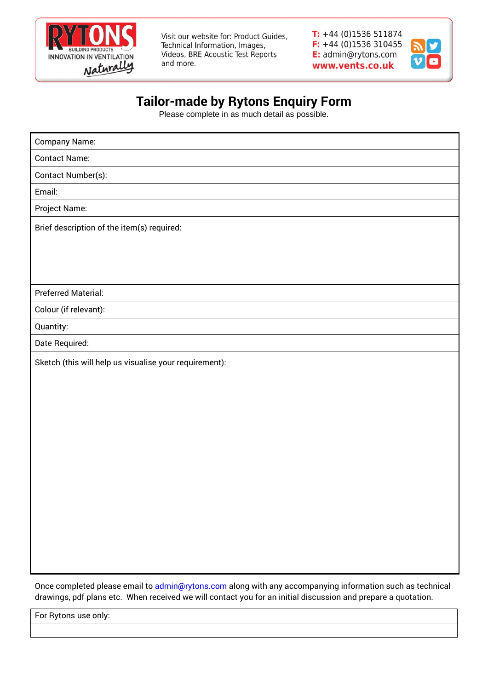

Visit our website for: Product Guides, Technical Information, Images, Videos, BRE Acoustic Test Reports and more.

 $T: +44(0)1536511874$  $F: +44(0)1536310455$ E: admin@rytons.com www.vents.co.uk



## **Tailor-made by Rytons Enquiry Form**

Please complete in as much detail as possible.

| <b>Company Name:</b>                                   |  |  |  |  |  |
|--------------------------------------------------------|--|--|--|--|--|
| <b>Contact Name:</b>                                   |  |  |  |  |  |
| Contact Number(s):                                     |  |  |  |  |  |
| Email:                                                 |  |  |  |  |  |
| Project Name:                                          |  |  |  |  |  |
| Brief description of the item(s) required:             |  |  |  |  |  |
|                                                        |  |  |  |  |  |
|                                                        |  |  |  |  |  |
|                                                        |  |  |  |  |  |
| <b>Preferred Material:</b>                             |  |  |  |  |  |
| Colour (if relevant):                                  |  |  |  |  |  |
| Quantity:                                              |  |  |  |  |  |
| Date Required:                                         |  |  |  |  |  |
| Sketch (this will help us visualise your requirement): |  |  |  |  |  |
|                                                        |  |  |  |  |  |
|                                                        |  |  |  |  |  |
|                                                        |  |  |  |  |  |
|                                                        |  |  |  |  |  |
|                                                        |  |  |  |  |  |
|                                                        |  |  |  |  |  |
|                                                        |  |  |  |  |  |
|                                                        |  |  |  |  |  |
|                                                        |  |  |  |  |  |
|                                                        |  |  |  |  |  |
|                                                        |  |  |  |  |  |
|                                                        |  |  |  |  |  |
|                                                        |  |  |  |  |  |

Once completed please email to [admin@rytons.com](mailto:admin@rytons.com) along with any accompanying information such as technical drawings, pdf plans etc. When received we will contact you for an initial discussion and prepare a quotation.

For Rytons use only: